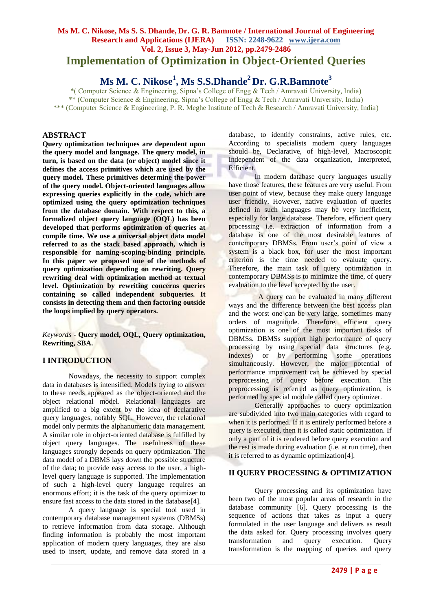# **Ms M. C. Nikose, Ms S. S. Dhande, Dr. G. R. Bamnote / International Journal of Engineering Research and Applications (IJERA) ISSN: 2248-9622 www.ijera.com Vol. 2, Issue 3, May-Jun 2012, pp.2479-2486 Implementation of Optimization in Object-Oriented Queries**

# **Ms M. C. Nikose<sup>1</sup> , Ms S.S.Dhande<sup>2</sup> Dr. G.R.Bamnote<sup>3</sup>**

\*( Computer Science & Engineering, Sipna's College of Engg & Tech / Amravati University, India) \*\* (Computer Science & Engineering, Sipna's College of Engg & Tech / Amravati University, India) \*\*\* (Computer Science & Engineering, P. R. Meghe Institute of Tech & Research / Amravati University, India)

# **ABSTRACT**

**Query optimization techniques are dependent upon the query model and language. The query model, in turn, is based on the data (or object) model since it defines the access primitives which are used by the query model. These primitives determine the power of the query model. Object-oriented languages allow expressing queries explicitly in the code, which are optimized using the query optimization techniques from the database domain. With respect to this, a formalized object query language (OQL) has been developed that performs optimization of queries at compile time. We use a universal object data model referred to as the stack based approach, which is responsible for naming-scoping-binding principle. In this paper we proposed one of the methods of query optimization depending on rewriting. Query rewriting deal with optimization method at textual level. Optimization by rewriting concerns queries containing so called independent subqueries. It consists in detecting them and then factoring outside the loops implied by query operators.**

*Keywords* **- Query model, OQL, Query optimization, Rewriting, SBA.**

# **I INTRODUCTION**

Nowadays, the necessity to support complex data in databases is intensified. Models trying to answer to these needs appeared as the object-oriented and the object relational model. Relational languages are amplified to a big extent by the idea of declarative query languages, notably SQL. However, the relational model only permits the alphanumeric data management. A similar role in object-oriented database is fulfilled by object query languages. The usefulness of these languages strongly depends on query optimization. The data model of a DBMS lays down the possible structure of the data; to provide easy access to the user, a highlevel query language is supported. The implementation of such a high-level query language requires an enormous effort; it is the task of the query optimizer to ensure fast access to the data stored in the database[4].

A query language is special tool used in contemporary database management systems (DBMSs) to retrieve information from data storage. Although finding information is probably the most important application of modern query languages, they are also used to insert, update, and remove data stored in a database, to identify constraints, active rules, etc. According to specialists modern query languages should be, Declarative, of high-level, Macroscopic Independent of the data organization, Interpreted, Efficient.

In modern database query languages usually have those features, these features are very useful. From user point of view, because they make query language user friendly. However, native evaluation of queries defined in such languages may be very inefficient, especially for large database. Therefore, efficient query processing i.e. extraction of information from a database is one of the most desirable features of contemporary DBMSs. From user's point of view a system is a black box, for user the most important criterion is the time needed to evaluate query. Therefore, the main task of query optimization in contemporary DBMSs is to minimize the time, of query evaluation to the level accepted by the user.

 A query can be evaluated in many different ways and the difference between the best access plan and the worst one can be very large, sometimes many orders of magnitude. Therefore, efficient query optimization is one of the most important tasks of DBMSs. DBMSs support high performance of query processing by using special data structures (e.g. indexes) or by performing some operations simultaneously. However, the major potential of performance improvement can be achieved by special preprocessing of query before execution. This preprocessing is referred as query optimization, is performed by special module called query optimizer.

Generally approaches to query optimization are subdivided into two main categories with regard to when it is performed. If it is entirely performed before a query is executed, then it is called static optimization. If only a part of it is rendered before query execution and the rest is made during evaluation (i.e. at run time), then it is referred to as dynamic optimization[4].

### **II QUERY PROCESSING & OPTIMIZATION**

Query processing and its optimization have been two of the most popular areas of research in the database community [6]. Query processing is the sequence of actions that takes as input a query formulated in the user language and delivers as result the data asked for. Query processing involves query transformation and query execution. Query transformation is the mapping of queries and query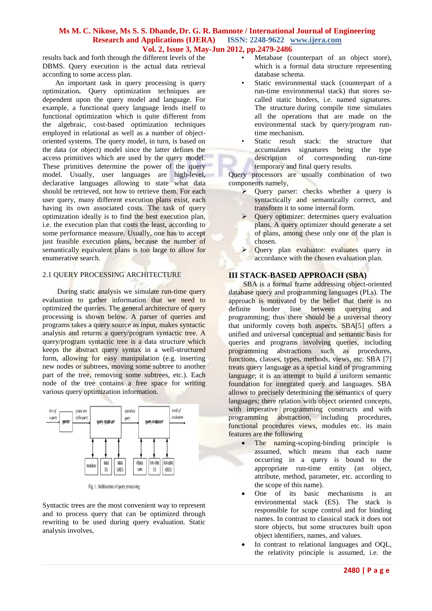results back and forth through the different levels of the DBMS. Query execution is the actual data retrieval according to some access plan.

 An important task in query processing is query optimization**.** Query optimization techniques are dependent upon the query model and language. For example, a functional query language lends itself to functional optimization which is quite different from the algebraic, cost-based optimization techniques employed in relational as well as a number of objectoriented systems. The query model, in turn, is based on the data (or object) model since the latter defines the access primitives which are used by the query model. These primitives determine the power of the query model. Usually, user languages are high-level, declarative languages allowing to state what data should be retrieved, not how to retrieve them. For each user query, many different execution plans exist, each having its own associated costs. The task of query optimization ideally is to find the best execution plan, i.e. the execution plan that costs the least, according to some performance measure. Usually, one has to accept just feasible execution plans, because the number of semantically equivalent plans is too large to allow for enumerative search.

# 2.1 QUERY PROCESSING ARCHITECTURE

 During static analysis we simulate run-time query evaluation to gather information that we need to optimized the queries. The general architecture of query processing is shown below. A parser of queries and programs takes a query source as input, makes syntactic analysis and returns a query/program syntactic tree. A query/program syntactic tree is a data structure which keeps the abstract query syntax in a well-structured form, allowing for easy manipulation (e.g. inserting new nodes or subtrees, moving some subtree to another part of the tree, removing some subtrees, etc.). Each node of the tree contains a free space for writing various query optimization information.



Fig. 1. Architecture of query processing

Syntactic trees are the most convenient way to represent and to process query that can be optimized through rewriting to be used during query evaluation. Static analysis involves,

- Metabase (counterpart of an object store), which is a formal data structure representing database schema.
- Static environmental stack (counterpart of a run-time environmental stack) that stores socalled static binders, i.e. named signatures. The structure during compile time simulates all the operations that are made on the environmental stack by query/program runtime mechanism.
- Static result stack: the structure that accumulates signatures being the type description of corresponding run-time temporary and final query results.

Query processors are usually combination of two components namely,

- $\triangleright$  Ouery parser: checks whether a query is syntactically and semantically correct, and transform it to some internal form.
- $\triangleright$  Ouery optimizer: determines query evaluation plans. A query optimizer should generate a set of plans, among these only one of the plan is chosen.
- Query plan evaluator: evaluates query in accordance with the chosen evaluation plan.

# **III STACK-BASED APPROACH (SBA)**

 SBA is a formal frame addressing object-oriented database query and programming languages (PLs). The approach is motivated by the belief that there is no definite border line between querying and programming; thus there should be a universal theory that uniformly covers both aspects. SBA[5] offers a unified and universal conceptual and semantic basis for queries and programs involving queries, including programming abstractions such as procedures, functions, classes, types, methods, views, etc. SBA [7] treats query language as a special kind of programming language; it is an attempt to build a uniform semantic foundation for integrated query and languages. SBA allows to precisely determining the semantics of query languages; there relation with object oriented concepts, with imperative programming constructs and with programming abstraction, including procedures, functional procedures views, modules etc. its main features are the following

- The naming-scoping-binding principle is assumed, which means that each name occurring in a query is bound to the appropriate run-time entity (an object, attribute, method, parameter, etc. according to the scope of this name).
- One of its basic mechanisms is an environmental stack (ES). The stack is responsible for scope control and for binding names. In contrast to classical stack it does not store objects, but some structures built upon object identifiers, names, and values.
- In contrast to relational languages and OQL, the relativity principle is assumed, i.e. the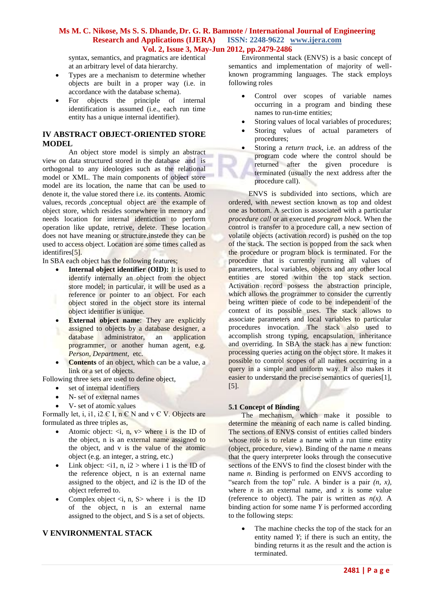syntax, semantics, and pragmatics are identical at an arbitrary level of data hierarchy.

- Types are a mechanism to determine whether objects are built in a proper way (i.e. in accordance with the database schema).
- For objects the principle of internal identification is assumed (i.e., each run time entity has a unique internal identifier).

# **IV ABSTRACT OBJECT-ORIENTED STORE MODEL**

An object store model is simply an abstract view on data structured stored in the database and is orthogonal to any ideologies such as the relational model or XML. The main components of object store model are its location, the name that can be used to denote it, the value stored there i.e. its contents. Atomic values, records ,conceptual object are the example of object store, which resides somewhere in memory and needs location for internal identiction to perform operation like update, retrive, delete. These location does not have meaning or structure,instede they can be used to access object. Location are some times called as identifires[5].

In SBA each object has the following features;

- **Internal object identifier (OID):** It is used to identify internally an object from the object store model; in particular, it will be used as a reference or pointer to an object. For each object stored in the object store its internal object identifier is unique.
- **External object name:** They are explicitly assigned to objects by a database designer, a database administrator, an application programmer, or another human agent, e.g. *Person, Department,* etc.
- **Contents** of an object, which can be a value, a link or a set of objects.
- Following three sets are used to define object,
	- set of internal identifiers
	- N- set of external names
	- V- set of atomic values

Formally let, i, i1, i2  $\in$  I, n  $\in$  N and v  $\in$  V. Objects are formulated as three triples as,

- Atomic object:  $\langle i, n, v \rangle$  where i is the ID of the object, n is an external name assigned to the object, and v is the value of the atomic object (e.g. an integer, a string, etc.)
- Link object:  $\langle i1, n, i2 \rangle$  where i 1 is the ID of the reference object, n is an external name assigned to the object, and i2 is the ID of the object referred to.
- Complex object  $\langle i, n, S \rangle$  where i is the ID of the object, n is an external name assigned to the object, and S is a set of objects.

# **V ENVIRONMENTAL STACK**

Environmental stack (ENVS) is a basic concept of semantics and implementation of majority of wellknown programming languages. The stack employs following roles

- Control over scopes of variable names occurring in a program and binding these names to run-time entities;
- Storing values of local variables of procedures;
- Storing values of actual parameters of procedures;
- Storing a *return track*, i.e. an address of the program code where the control should be returned after the given procedure is terminated (usually the next address after the procedure call).

 ENVS is subdivided into sections, which are ordered, with newest section known as top and oldest one as bottom. A section is associated with a particular *procedure call* or an executed *program block.* When the control is transfer to a procedure call, a new section of volatile objects (activation record) is pushed on the top of the stack. The section is popped from the sack when the procedure or program block is terminated. For the procedure that is currently running all values of parameters, local variables, objects and any other local entities are stored within the top stack section. Activation record possess the abstraction principle, which allows the programmer to consider the currently being written piece of code to be independent of the context of its possible uses. The stack allows to associate parameters and local variables to particular procedures invocation. The stack also used to accomplish strong typing, encapsulation, inheritance and overriding. In SBA the stack has a new function: processing queries acting on the object store. It makes it possible to control scopes of all names occurring in a query in a simple and uniform way. It also makes it easier to understand the precise semantics of queries[1], [5].

### **5.1 Concept of Binding**

The mechanism, which make it possible to determine the meaning of each name is called binding. The sections of ENVS consist of entities called binders whose role is to relate a name with a run time entity (object, procedure, view). Binding of the name *n* means that the query interpreter looks through the consecutive sections of the ENVS to find the closest binder with the name *n*. Binding is performed on ENVS according to "search from the top" rule. A binder is a pair  $(n, x)$ , where *n* is an external name, and *x* is some value (reference to object). The pair is written as  $n(x)$ . A binding action for some name *Y* is performed according to the following steps:

 The machine checks the top of the stack for an entity named *Y*; if there is such an entity, the binding returns it as the result and the action is terminated.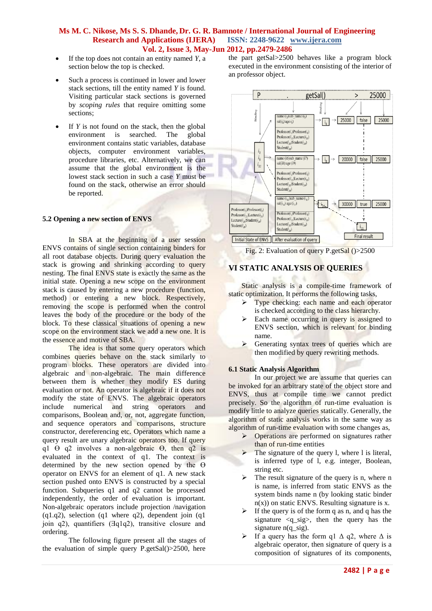- If the top does not contain an entity named *Y*, a section below the top is checked.
- Such a process is continued in lower and lower stack sections, till the entity named *Y* is found. Visiting particular stack sections is governed by *scoping rules* that require omitting some sections;
- If *Y* is not found on the stack, then the global environment is searched. The global environment contains static variables, database objects, computer environment variables, procedure libraries, etc. Alternatively, we can assume that the global environment is the lowest stack section in such a case *Y* must be found on the stack, otherwise an error should be reported.

### **5.2 Opening a new section of ENVS**

In SBA at the beginning of a user session ENVS contains of single section containing binders for all root database objects. During query evaluation the stack is growing and shrinking according to query nesting. The final ENVS state is exactly the same as the initial state. Opening a new scope on the environment stack is caused by entering a new procedure (function, method) or entering a new block. Respectively, removing the scope is performed when the control leaves the body of the procedure or the body of the block. To these classical situations of opening a new scope on the environment stack we add a new one. It is the essence and motive of SBA.

The idea is that some query operators which combines queries behave on the stack similarly to program blocks. These operators are divided into algebraic and non-algebraic. The main difference between them is whether they modify ES during evaluation or not. An operator is algebraic if it does not modify the state of ENVS. The algebraic operators include numerical and string operators and comparisons, Boolean and, or, not, aggregate function, and sequence operators and comparisons, structure constructor, dereferencing etc. Operators which name a query result are unary algebraic operators too. If query q1  $\Theta$  q2 involves a non-algebraic  $\Theta$ , then q2 is evaluated in the context of q1. The context is determined by the new section opened by the  $\Theta$ operator on ENVS for an element of q1. A new stack section pushed onto ENVS is constructed by a special function. Subqueries q1 and q2 cannot be processed independently, the order of evaluation is important. Non-algebraic operators include projection /navigation  $(a1.a2)$ , selection  $(a1$  where  $a2)$ , dependent join  $(a1)$ join  $q2$ ), quantifiers  $(\exists q1q2)$ , transitive closure and ordering.

The following figure present all the stages of the evaluation of simple query P.getSal()>2500, here the part getSal>2500 behaves like a program block executed in the environment consisting of the interior of an professor object.



Fig. 2: Evaluation of query P.getSal ()>2500

# **VI STATIC ANALYSIS OF QUERIES**

Static analysis is a compile-time framework of static optimization. It performs the following tasks,

- $\triangleright$  Type checking: each name and each operator is checked according to the class hierarchy.
- $\triangleright$  Each name occurring in query is assigned to ENVS section, which is relevant for binding name.
- $\triangleright$  Generating syntax trees of queries which are then modified by query rewriting methods.

#### **6.1 Static Analysis Algorithm**

In our project we are assume that queries can be invoked for an arbitrary state of the object store and ENVS, thus at compile time we cannot predict precisely. So the algorithm of run-time evaluation is modify little to analyze queries statically. Generally, the algorithm of static analysis works in the same way as algorithm of run-time evaluation with some changes as,

- $\triangleright$  Operations are performed on signatures rather than of run-time entities
- $\triangleright$  The signature of the query l, where l is literal, is inferred type of l, e.g. integer, Boolean, string etc.
- $\triangleright$  The result signature of the query is n, where n is name, is inferred from static ENVS as the system binds name n (by looking static binder  $n(x)$ ) on static ENVS. Resulting signature is x.
- If the query is of the form q as n, and q has the signature <q\_sig>, then the query has the signature  $n(q_sig)$ .
- $\triangleright$  If a query has the form q1  $\Delta$  q2, where  $\Delta$  is algebraic operator, then signature of query is a composition of signatures of its components,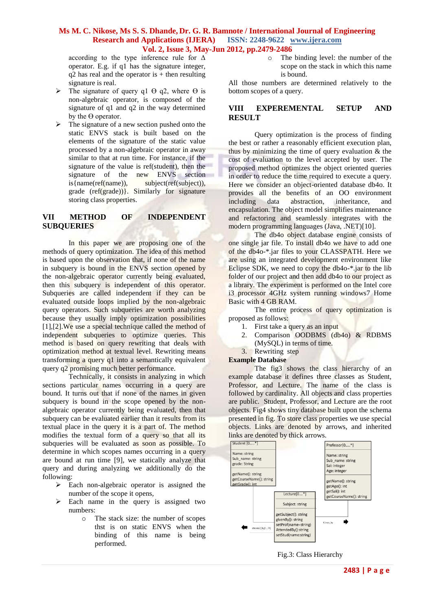according to the type inference rule for Δ operator. E.g. if q1 has the signature integer,  $q2$  has real and the operator is  $+$  then resulting signature is real.

- $\triangleright$  The signature of query q1  $\Theta$  q2, where  $\Theta$  is non-algebraic operator, is composed of the signature of q1 and q2 in the way determined by the  $\Theta$  operator.
- $\triangleright$  The signature of a new section pushed onto the static ENVS stack is built based on the elements of the signature of the static value processed by a non-algebraic operator in away similar to that at run time. For instance, if the signature of the value is ref(student), then the signature of the new ENVS section is{name(ref(name)), subject(ref(subject)), grade (ref(grade))}. Similarly for signature storing class properties.

# **VII METHOD OF INDEPENDENT SUBQUERIES**

In this paper we are proposing one of the methods of query optimization. The idea of this method is based upon the observation that, if none of the name in subquery is bound in the ENVS section opened by the non-algebraic operator currently being evaluated, then this subquery is independent of this operator. Subqueries are called independent if they can be evaluated outside loops implied by the non-algebraic query operators. Such subqueries are worth analyzing because they usually imply optimization possibilities [1],[2].We use a special technique called the method of independent subqueries to optimize queries. This method is based on query rewriting that deals with optimization method at textual level. Rewriting means transforming a query q1 into a semantically equivalent query q2 promising much better performance.

Technically, it consists in analyzing in which sections particular names occurring in a query are bound. It turns out that if none of the names in given subquery is bound in the scope opened by the nonalgebraic operator currently being evaluated, then that subquery can be evaluated earlier than it results from its textual place in the query it is a part of. The method modifies the textual form of a query so that all its subqueries will be evaluated as soon as possible. To determine in which scopes names occurring in a query are bound at run time [9], we statically analyze that query and during analyzing we additionally do the following:

- $\triangleright$  Each non-algebraic operator is assigned the number of the scope it opens,
- $\triangleright$  Each name in the query is assigned two numbers:
	- o The stack size: the number of scopes thst is on static ENVS when the binding of this name is being performed.

o The binding level: the number of the scope on the stack in which this name is bound.

All those numbers are determined relatively to the bottom scopes of a query.

# **VIII EXPEREMENTAL SETUP AND RESULT**

Query optimization is the process of finding the best or rather a reasonably efficient execution plan, thus by minimizing the time of query evaluation  $\&$  the cost of evaluation to the level accepted by user. The proposed method optimizes the object oriented queries in order to reduce the time required to execute a query. Here we consider an object-oriented database db4o. It provides all the benefits of an OO environment including data abstraction, inheritance, and encapsulation. The object model simplifies maintenance and refactoring and seamlessly integrates with the modern programming languages (Java, .NET)[10].

The db4o object database engine consists of one single jar file. To install db4o we have to add one of the db4o-\*.jar files to your CLASSPATH. Here we are using an integrated development environment like Eclipse SDK, we need to copy the db4o-\*.jar to the lib folder of our project and then add db4o to our project as a library. The experiment is performed on the Intel core i3 processor 4GHz system running windows7 Home Basic with 4 GB RAM.

The entire process of query optimization is proposed as follows:

- 1. First take a query as an input
- 2. Comparison OODBMS (db4o) & RDBMS
- (MySQL) in terms of time.
- 3. Rewriting step

### **Example Database**

The fig3 shows the class hierarchy of an example database it defines three classes as Student, Professor, and Lecture. The name of the class is followed by cardinality. All objects and class properties are public. Student, Professor, and Lecture are the root objects. Fig4 shows tiny database built upon the schema presented in fig. To store class properties we use special objects. Links are denoted by arrows, and inherited



# Fig.3: Class Hierarchy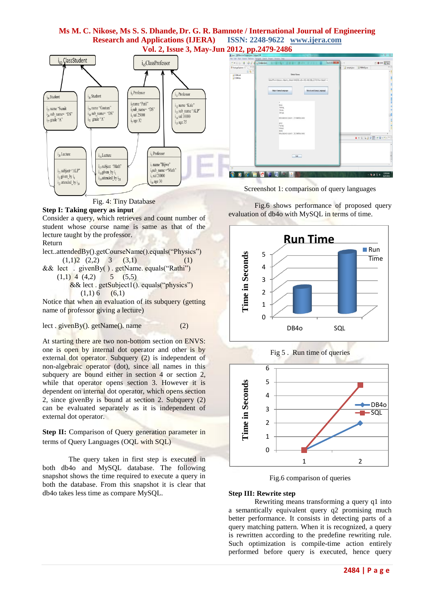

Fig. 4: Tiny Database

# **Step I: Taking query as input**

Consider a query, which retrieves and count number of student whose course name is same as that of the lecture taught by the professor.

Return

- lect..attendedBy().getCourseName().equals("Physics")  $(1,1)$ 2  $(2,2)$  3  $(3,1)$  (1)
- && lect . givenBy( ) . getName. equals("Rathi")  $(1,1)$  4  $(4,2)$  5  $(5,5)$  && lect . getSubject1(). equals("physics")
	- $(1,1) 6$  (6,1)

Notice that when an evaluation of its subquery (getting name of professor giving a lecture)

lect . givenBy(). getName(). name (2)

At starting there are two non-bottom section on ENVS: one is open by internal dot operator and other is by external dot operator. Subquery (2) is independent of non-algebraic operator (dot), since all names in this subquery are bound either in section 4 or section 2, while that operator opens section 3. However it is dependent on internal dot operator, which opens section 2, since givenBy is bound at section 2. Subquery (2) can be evaluated separately as it is independent of external dot operator.

**Step II:** Comparison of Query generation parameter in terms of Query Languages (OQL with SQL)

The query taken in first step is executed in both db4o and MySQL database. The following snapshot shows the time required to execute a query in both the database. From this snapshot it is clear that db4o takes less time as compare MySQL.

Fig.6 shows performance of proposed query evaluation of db4o with MySQL in terms of time.





Fig.6 comparison of queries

### **Step III: Rewrite step**

Rewriting means transforming a query q1 into a semantically equivalent query q2 promising much better performance. It consists in detecting parts of a query matching pattern. When it is recognized, a query is rewritten according to the predefine rewriting rule. Such optimization is compile-time action entirely performed before query is executed, hence query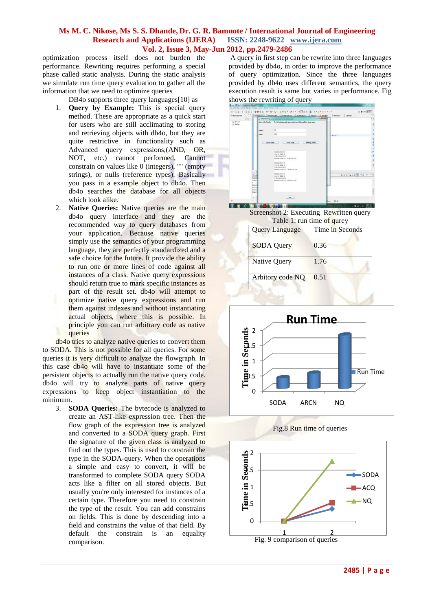optimization process itself does not burden the performance. Rewriting requires performing a special phase called static analysis. During the static analysis we simulate run time query evaluation to gather all the information that we need to optimize queries

DB4o supports three query languages[10] as

- 1. **Query by Example:** This is special query method. These are appropriate as a quick start for users who are still acclimating to storing and retrieving objects with db4o, but they are quite restrictive in functionality such as Advanced query expressions,(AND, OR, NOT, etc.) cannot performed, Cannot constrain on values like 0 (integers), "" (empty strings), or nulls (reference types). Basically you pass in a example object to db4o. Then db4o searches the database for all objects which look alike.
- 2. **Native Queries:** Native queries are the main db4o query interface and they are the recommended way to query databases from your application. Because native queries simply use the semantics of your programming language, they are perfectly standardized and a safe choice for the future. It provide the ability to run one or more lines of code against all instances of a class. Native query expressions should return true to mark specific instances as part of the result set. db4o will attempt to optimize native query expressions and run them against indexes and without instantiating actual objects, where this is possible. In principle you can run arbitrary code as native queries

db4o tries to analyze native queries to convert them to SODA. This is not possible for all queries. For some queries it is very difficult to analyze the flowgraph. In this case db4o will have to instantiate some of the persistent objects to actually run the native query code. db4o will try to analyze parts of native query expressions to keep object instantiation to the minimum.

3. **SODA Queries:** The bytecode is analyzed to create an AST-like expression tree. Then the flow graph of the expression tree is analyzed and converted to a SODA query graph. First the signature of the given class is analyzed to find out the types. This is used to constrain the type in the SODA-query. When the operations a simple and easy to convert, it will be transformed to complete SODA query SODA acts like a filter on all stored objects. But usually you're only interested for instances of a certain type. Therefore you need to constrain the type of the result. You can add constrains on fields. This is done by descending into a field and constrains the value of that field. By default the constrain is an equality comparison.

A query in first step can be rewrite into three languages provided by db4o, in order to improve the performance of query optimization. Since the three languages provided by db4o uses different semantics, the query execution result is same but varies in performance. Fig shows the rewriting of query



Screenshot 2: Executing Rewritten query

| Table 1: run time of qurey |                 |
|----------------------------|-----------------|
| <b>Query Language</b>      | Time in Seconds |
| <b>SODA</b> Query          | 0.36            |
| Native Query               | 1.76            |
| Arbitory code NQ           | 0.51            |



Fig.8 Run time of queries